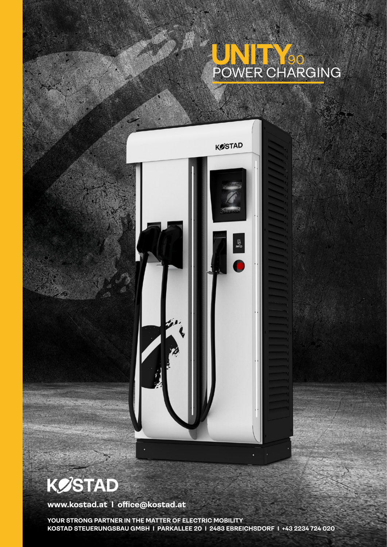## POWER CHARGING 90



**KØSTAD** 

**www.kostad.at I office@kostad.at**

**YOUR STRONG PARTNER IN THE MATTER OF ELECTRIC MOBILITY KOSTAD STEUERUNGSBAU GMBH I PARKALLEE 20 I 2483 EBREICHSDORF I +43 2234 724 020**